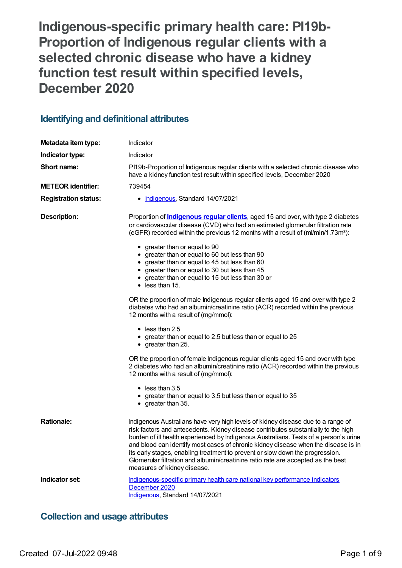**Indigenous-specific primary health care: PI19b-Proportion of Indigenous regular clients with a selected chronic disease who have a kidney function test result within specified levels, December 2020**

# **Identifying and definitional attributes**

| Metadata item type:         | Indicator                                                                                                                                                                                                                                                                                                                                                                                                                                                                                                                                                                                                                                                                                                                                                                                                                                                                                                                                                                                                                                                                                                                                                                                                                      |  |
|-----------------------------|--------------------------------------------------------------------------------------------------------------------------------------------------------------------------------------------------------------------------------------------------------------------------------------------------------------------------------------------------------------------------------------------------------------------------------------------------------------------------------------------------------------------------------------------------------------------------------------------------------------------------------------------------------------------------------------------------------------------------------------------------------------------------------------------------------------------------------------------------------------------------------------------------------------------------------------------------------------------------------------------------------------------------------------------------------------------------------------------------------------------------------------------------------------------------------------------------------------------------------|--|
| Indicator type:             | Indicator                                                                                                                                                                                                                                                                                                                                                                                                                                                                                                                                                                                                                                                                                                                                                                                                                                                                                                                                                                                                                                                                                                                                                                                                                      |  |
| Short name:                 | PI19b-Proportion of Indigenous regular clients with a selected chronic disease who<br>have a kidney function test result within specified levels, December 2020                                                                                                                                                                                                                                                                                                                                                                                                                                                                                                                                                                                                                                                                                                                                                                                                                                                                                                                                                                                                                                                                |  |
| <b>METEOR identifier:</b>   | 739454                                                                                                                                                                                                                                                                                                                                                                                                                                                                                                                                                                                                                                                                                                                                                                                                                                                                                                                                                                                                                                                                                                                                                                                                                         |  |
| <b>Registration status:</b> | • Indigenous, Standard 14/07/2021                                                                                                                                                                                                                                                                                                                                                                                                                                                                                                                                                                                                                                                                                                                                                                                                                                                                                                                                                                                                                                                                                                                                                                                              |  |
| <b>Description:</b>         | Proportion of <b>Indigenous regular clients</b> , aged 15 and over, with type 2 diabetes<br>or cardiovascular disease (CVD) who had an estimated glomerular filtration rate<br>(eGFR) recorded within the previous 12 months with a result of (ml/min/1.73m <sup>2</sup> ):<br>• greater than or equal to 90<br>• greater than or equal to 60 but less than 90<br>• greater than or equal to 45 but less than 60<br>• greater than or equal to 30 but less than 45<br>• greater than or equal to 15 but less than 30 or<br>$\bullet$ less than 15.<br>OR the proportion of male Indigenous regular clients aged 15 and over with type 2<br>diabetes who had an albumin/creatinine ratio (ACR) recorded within the previous<br>12 months with a result of (mg/mmol):<br>$\bullet$ less than 2.5<br>• greater than or equal to 2.5 but less than or equal to 25<br>• greater than 25.<br>OR the proportion of female Indigenous regular clients aged 15 and over with type<br>2 diabetes who had an albumin/creatinine ratio (ACR) recorded within the previous<br>12 months with a result of (mg/mmol):<br>$\bullet$ less than 3.5<br>• greater than or equal to 3.5 but less than or equal to 35<br>$\bullet$ greater than 35. |  |
| <b>Rationale:</b>           | Indigenous Australians have very high levels of kidney disease due to a range of<br>risk factors and antecedents. Kidney disease contributes substantially to the high<br>burden of ill health experienced by Indigenous Australians. Tests of a person's urine<br>and blood can identify most cases of chronic kidney disease when the disease is in<br>its early stages, enabling treatment to prevent or slow down the progression.<br>Glomerular filtration and albumin/creatinine ratio rate are accepted as the best<br>measures of kidney disease.                                                                                                                                                                                                                                                                                                                                                                                                                                                                                                                                                                                                                                                                      |  |
| Indicator set:              | Indigenous-specific primary health care national key performance indicators<br>December 2020<br>Indigenous, Standard 14/07/2021                                                                                                                                                                                                                                                                                                                                                                                                                                                                                                                                                                                                                                                                                                                                                                                                                                                                                                                                                                                                                                                                                                |  |

# **Collection and usage attributes**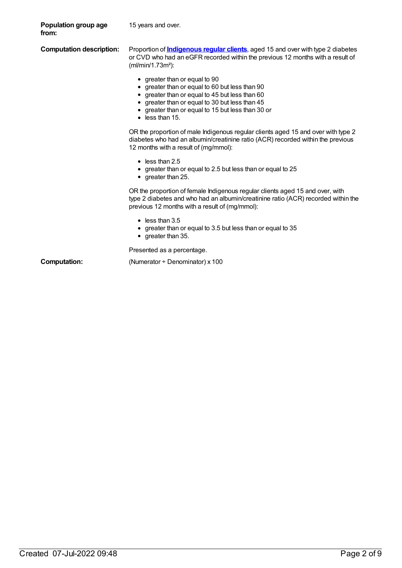| Population group age<br>from:   | 15 years and over.                                                                                                                                                                                                                                          |
|---------------------------------|-------------------------------------------------------------------------------------------------------------------------------------------------------------------------------------------------------------------------------------------------------------|
| <b>Computation description:</b> | Proportion of <b>Indigenous regular clients</b> , aged 15 and over with type 2 diabetes<br>or CVD who had an eGFR recorded within the previous 12 months with a result of<br>(ml/min/1.73m <sup>2</sup> ):                                                  |
|                                 | • greater than or equal to 90<br>greater than or equal to 60 but less than 90<br>greater than or equal to 45 but less than 60<br>greater than or equal to 30 but less than 45<br>greater than or equal to 15 but less than 30 or<br>$\bullet$ less than 15. |
|                                 | OR the proportion of male Indigenous regular clients aged 15 and over with type 2<br>diabetes who had an albumin/creatinine ratio (ACR) recorded within the previous<br>12 months with a result of (mg/mmol):                                               |
|                                 | $\bullet$ less than 2.5<br>greater than or equal to 2.5 but less than or equal to 25<br>$\bullet$ greater than 25.                                                                                                                                          |
|                                 | OR the proportion of female Indigenous regular clients aged 15 and over, with<br>type 2 diabetes and who had an albumin/creatinine ratio (ACR) recorded within the<br>previous 12 months with a result of (mg/mmol):                                        |
|                                 | $\bullet$ less than 3.5<br>greater than or equal to 3.5 but less than or equal to 35<br>greater than 35.                                                                                                                                                    |
|                                 | Presented as a percentage.                                                                                                                                                                                                                                  |
| <b>Computation:</b>             | (Numerator $\div$ Denominator) x 100                                                                                                                                                                                                                        |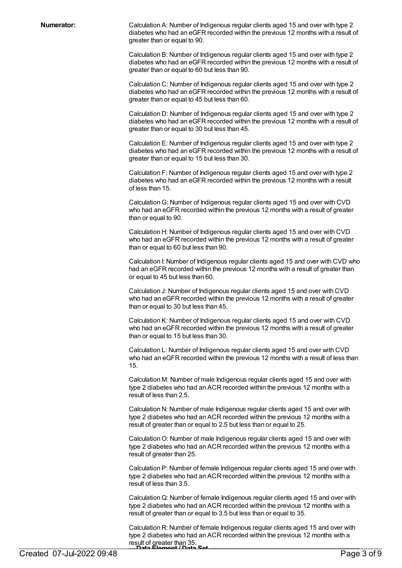**Numerator:** Calculation A: Number of Indigenous regular clients aged 15 and over with type 2 diabetes who had an eGFR recorded within the previous 12 months with a result of greater than or equal to 90.

> Calculation B: Number of Indigenous regular clients aged 15 and over with type 2 diabetes who had an eGFR recorded within the previous 12 months with a result of greater than or equal to 60 but less than 90.

> Calculation C: Number of Indigenous regular clients aged 15 and over with type 2 diabetes who had an eGFR recorded within the previous 12 months with a result of greater than or equal to 45 but less than 60.

> Calculation D: Number of Indigenous regular clients aged 15 and over with type 2 diabetes who had an eGFR recorded within the previous 12 months with a result of greater than or equal to 30 but less than 45.

> Calculation E: Number of Indigenous regular clients aged 15 and over with type 2 diabetes who had an eGFR recorded within the previous 12 months with a result of greater than or equal to 15 but less than 30.

Calculation F: Number of Indigenous regular clients aged 15 and over with type 2 diabetes who had an eGFR recorded within the previous 12 months with a result of less than 15.

CalculationG: Number of Indigenous regular clients aged 15 and over with CVD who had an eGFR recorded within the previous 12 months with a result of greater than or equal to 90.

Calculation H: Number of Indigenous regular clients aged 15 and over with CVD who had an eGFR recorded within the previous 12 months with a result of greater than or equal to 60 but less than 90.

Calculation I: Number of Indigenous regular clients aged 15 and over with CVD who had an eGFR recorded within the previous 12 months with a result of greater than or equal to 45 but less than 60.

Calculation J: Number of Indigenous regular clients aged 15 and over with CVD who had an eGFR recorded within the previous 12 months with a result of greater than or equal to 30 but less than 45.

Calculation K: Number of Indigenous regular clients aged 15 and over with CVD who had an eGFR recorded within the previous 12 months with a result of greater than or equal to 15 but less than 30.

Calculation L: Number of Indigenous regular clients aged 15 and over with CVD who had an eGFR recorded within the previous 12 months with a result of less than 15.

Calculation M: Number of male Indigenous regular clients aged 15 and over with type 2 diabetes who had an ACR recorded within the previous 12 months with a result of less than 2.5.

Calculation N: Number of male Indigenous regular clients aged 15 and over with type 2 diabetes who had an ACR recorded within the previous 12 months with a result of greater than or equal to 2.5 but less than or equal to 25.

CalculationO: Number of male Indigenous regular clients aged 15 and over with type 2 diabetes who had an ACR recorded within the previous 12 months with a result of greater than 25.

Calculation P: Number of female Indigenous regular clients aged 15 and over with type 2 diabetes who had an ACR recorded within the previous 12 months with a result of less than 3.5.

CalculationQ: Number of female Indigenous regular clients aged 15 and over with type 2 diabetes who had an ACR recorded within the previous 12 months with a result of greater than or equal to 3.5 but less than or equal to 35.

Calculation R: Number of female Indigenous regular clients aged 15 and over with type 2 diabetes who had an ACR recorded within the previous 12 months with a result of greater than 35.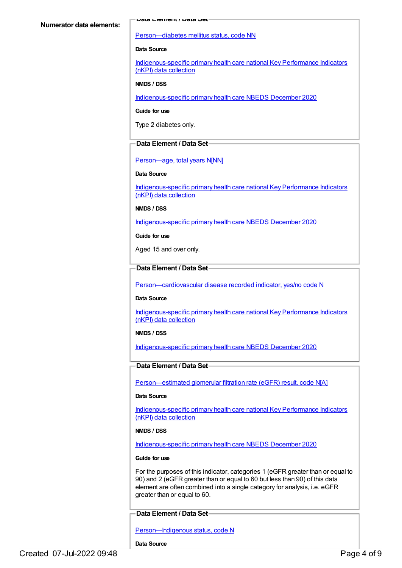[Person—diabetes](https://meteor.aihw.gov.au/content/270194) mellitus status, code NN

#### **Data Source**

[Indigenous-specific](https://meteor.aihw.gov.au/content/737914) primary health care national Key Performance Indicators (nKPI) data collection

## **NMDS / DSS**

[Indigenous-specific](https://meteor.aihw.gov.au/content/738532) primary health care NBEDS December 2020

#### **Guide for use**

Type 2 diabetes only.

# **Data Element / Data Set**

# [Person—age,](https://meteor.aihw.gov.au/content/303794) total years N[NN]

# **Data Source**

[Indigenous-specific](https://meteor.aihw.gov.au/content/737914) primary health care national Key Performance Indicators (nKPI) data collection

# **NMDS / DSS**

[Indigenous-specific](https://meteor.aihw.gov.au/content/738532) primary health care NBEDS December 2020

**Guide for use**

Aged 15 and over only.

# **Data Element / Data Set**

[Person—cardiovascular](https://meteor.aihw.gov.au/content/465948) disease recorded indicator, yes/no code N

# **Data Source**

[Indigenous-specific](https://meteor.aihw.gov.au/content/737914) primary health care national Key Performance Indicators (nKPI) data collection

# **NMDS / DSS**

[Indigenous-specific](https://meteor.aihw.gov.au/content/738532) primary health care NBEDS December 2020

# **Data Element / Data Set**

[Person—estimated](https://meteor.aihw.gov.au/content/503010) glomerular filtration rate (eGFR) result, code N[A]

# **Data Source**

[Indigenous-specific](https://meteor.aihw.gov.au/content/737914) primary health care national Key Performance Indicators (nKPI) data collection

# **NMDS / DSS**

[Indigenous-specific](https://meteor.aihw.gov.au/content/738532) primary health care NBEDS December 2020

# **Guide for use**

For the purposes of this indicator, categories 1 (eGFR greater than or equal to 90) and 2 (eGFR greater than or equal to 60 but less than 90) of this data element are often combined into a single category for analysis, i.e. eGFR greater than or equal to 60.

# **Data Element / Data Set**

Person-Indigenous status, code N

**Data Source**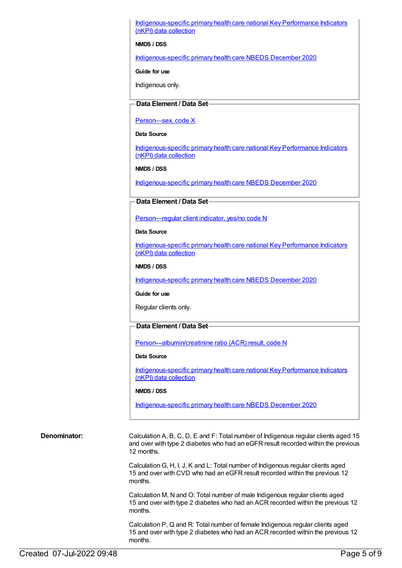[Indigenous-specific](https://meteor.aihw.gov.au/content/737914) primary health care national Key Performance Indicators (nKPI) data collection

#### **NMDS / DSS**

[Indigenous-specific](https://meteor.aihw.gov.au/content/738532) primary health care NBEDS December 2020

**Guide for use**

Indigenous only.

### **Data Element / Data Set**

#### [Person—sex,](https://meteor.aihw.gov.au/content/635126) code X

**Data Source**

[Indigenous-specific](https://meteor.aihw.gov.au/content/737914) primary health care national Key Performance Indicators (nKPI) data collection

**NMDS / DSS**

[Indigenous-specific](https://meteor.aihw.gov.au/content/738532) primary health care NBEDS December 2020

# **Data Element / Data Set**

[Person—regular](https://meteor.aihw.gov.au/content/686291) client indicator, yes/no code N

#### **Data Source**

[Indigenous-specific](https://meteor.aihw.gov.au/content/737914) primary health care national Key Performance Indicators (nKPI) data collection

#### **NMDS / DSS**

[Indigenous-specific](https://meteor.aihw.gov.au/content/738532) primary health care NBEDS December 2020

#### **Guide for use**

Regular clients only.

# **Data Element / Data Set**

[Person—albumin/creatinine](https://meteor.aihw.gov.au/content/699033) ratio (ACR) result, code N

#### **Data Source**

[Indigenous-specific](https://meteor.aihw.gov.au/content/737914) primary health care national Key Performance Indicators (nKPI) data collection

#### **NMDS / DSS**

[Indigenous-specific](https://meteor.aihw.gov.au/content/738532) primary health care NBEDS December 2020

**Denominator:** Calculation A, B, C, D, E and F: Total number of Indigenous regular clients aged 15 and over with type 2 diabetes who had an eGFR result recorded within the previous 12 months.

> CalculationG, H, I, J, K and L: Total number of Indigenous regular clients aged 15 and over with CVD who had an eGFR result recorded within the previous 12 months.

Calculation M, N and O: Total number of male Indigenous regular clients aged 15 and over with type 2 diabetes who had an ACR recorded within the previous 12 months.

Calculation P, Q and R: Total number of female Indigenous regular clients aged 15 and over with type 2 diabetes who had an ACR recorded within the previous 12 months.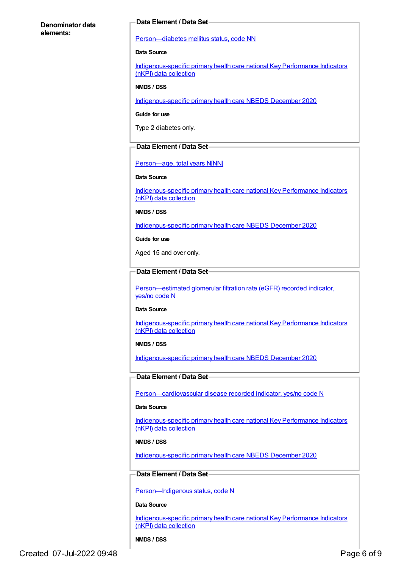# **Denominator data elements:**

# **Data Element / Data Set**

[Person—diabetes](https://meteor.aihw.gov.au/content/270194) mellitus status, code NN

#### **Data Source**

[Indigenous-specific](https://meteor.aihw.gov.au/content/737914) primary health care national Key Performance Indicators (nKPI) data collection

#### **NMDS / DSS**

[Indigenous-specific](https://meteor.aihw.gov.au/content/738532) primary health care NBEDS December 2020

# **Guide for use**

Type 2 diabetes only.

# **Data Element / Data Set**

# Person-age, total years N[NN]

#### **Data Source**

[Indigenous-specific](https://meteor.aihw.gov.au/content/737914) primary health care national Key Performance Indicators (nKPI) data collection

**NMDS / DSS**

[Indigenous-specific](https://meteor.aihw.gov.au/content/738532) primary health care NBEDS December 2020

**Guide for use**

Aged 15 and over only.

# **Data Element / Data Set**

[Person—estimated](https://meteor.aihw.gov.au/content/464961) glomerular filtration rate (eGFR) recorded indicator, yes/no code N

# **Data Source**

[Indigenous-specific](https://meteor.aihw.gov.au/content/737914) primary health care national Key Performance Indicators (nKPI) data collection

# **NMDS / DSS**

[Indigenous-specific](https://meteor.aihw.gov.au/content/738532) primary health care NBEDS December 2020

# **Data Element / Data Set**

[Person—cardiovascular](https://meteor.aihw.gov.au/content/465948) disease recorded indicator, yes/no code N

# **Data Source**

[Indigenous-specific](https://meteor.aihw.gov.au/content/737914) primary health care national Key Performance Indicators (nKPI) data collection

# **NMDS / DSS**

[Indigenous-specific](https://meteor.aihw.gov.au/content/738532) primary health care NBEDS December 2020

# **Data Element / Data Set**

[Person—Indigenous](https://meteor.aihw.gov.au/content/602543) status, code N

#### **Data Source**

[Indigenous-specific](https://meteor.aihw.gov.au/content/737914) primary health care national Key Performance Indicators (nKPI) data collection

# **NMDS / DSS**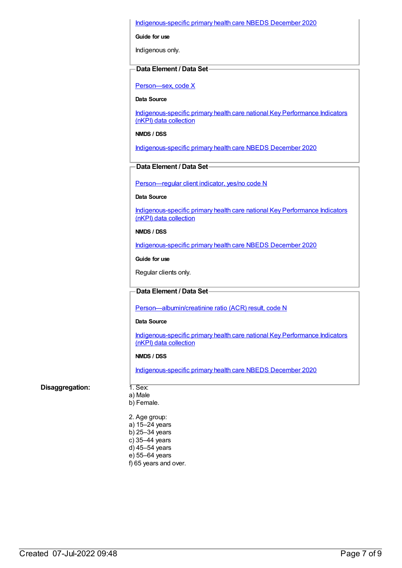# [Indigenous-specific](https://meteor.aihw.gov.au/content/738532) primary health care NBEDS December 2020

**Guide for use**

Indigenous only.

# **Data Element / Data Set**

[Person—sex,](https://meteor.aihw.gov.au/content/635126) code X

**Data Source**

[Indigenous-specific](https://meteor.aihw.gov.au/content/737914) primary health care national Key Performance Indicators (nKPI) data collection

**NMDS / DSS**

[Indigenous-specific](https://meteor.aihw.gov.au/content/738532) primary health care NBEDS December 2020

# **Data Element / Data Set**

[Person—regular](https://meteor.aihw.gov.au/content/686291) client indicator, yes/no code N

#### **Data Source**

[Indigenous-specific](https://meteor.aihw.gov.au/content/737914) primary health care national Key Performance Indicators (nKPI) data collection

#### **NMDS / DSS**

[Indigenous-specific](https://meteor.aihw.gov.au/content/738532) primary health care NBEDS December 2020

**Guide for use**

Regular clients only.

# **Data Element / Data Set**

[Person—albumin/creatinine](https://meteor.aihw.gov.au/content/699033) ratio (ACR) result, code N

#### **Data Source**

[Indigenous-specific](https://meteor.aihw.gov.au/content/737914) primary health care national Key Performance Indicators (nKPI) data collection

# **NMDS / DSS**

[Indigenous-specific](https://meteor.aihw.gov.au/content/738532) primary health care NBEDS December 2020

# **Disaggregation:** 1. Sex:

- a) Male
- b) Female.
- 2. Age group:
- a) 15–24 years
- b) 25–34 years
- c) 35–44 years
- d) 45–54 years e) 55–64 years
- f) 65 years and over.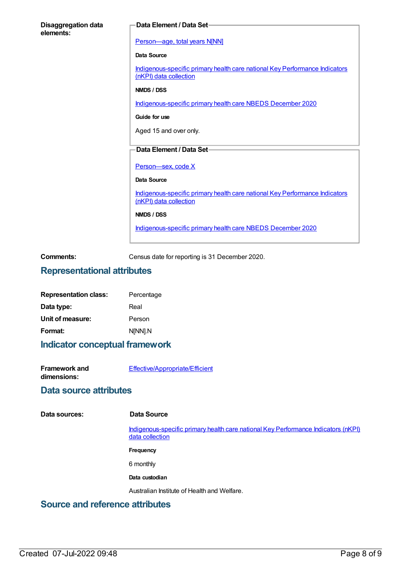| <b>Disaggregation data</b><br>elements: | Data Element / Data Set-                                                                              |
|-----------------------------------------|-------------------------------------------------------------------------------------------------------|
|                                         | Person-age, total years N[NN]                                                                         |
|                                         | <b>Data Source</b>                                                                                    |
|                                         | Indigenous-specific primary health care national Key Performance Indicators<br>(nKPI) data collection |
|                                         | NMDS / DSS                                                                                            |
|                                         | Indigenous-specific primary health care NBEDS December 2020                                           |
|                                         | Guide for use                                                                                         |
|                                         | Aged 15 and over only.                                                                                |
|                                         | <b>Data Element / Data Set-</b>                                                                       |
|                                         |                                                                                                       |
|                                         | Person-sex, code X                                                                                    |
|                                         | <b>Data Source</b>                                                                                    |
|                                         | Indigenous-specific primary health care national Key Performance Indicators<br>(nKPI) data collection |
|                                         | NMDS / DSS                                                                                            |
|                                         | Indigenous-specific primary health care NBEDS December 2020                                           |
|                                         |                                                                                                       |

**Comments:** Census date for reporting is 31 December 2020.

# **Representational attributes**

| <b>Representation class:</b> | Percentage |
|------------------------------|------------|
| Data type:                   | Real       |
| Unit of measure:             | Person     |
| Format:                      | N[NN].N    |

# **Indicator conceptual framework**

**Framework and dimensions:** [Effective/Appropriate/Efficient](https://meteor.aihw.gov.au/content/410681)

# **Data source attributes**

**Data sources: Data Source**

[Indigenous-specific](https://meteor.aihw.gov.au/content/737914) primary health care national Key Performance Indicators (nKPI) data collection

- **Frequency**
- 6 monthly
- **Data custodian**

Australian Institute of Health and Welfare.

# **Source and reference attributes**